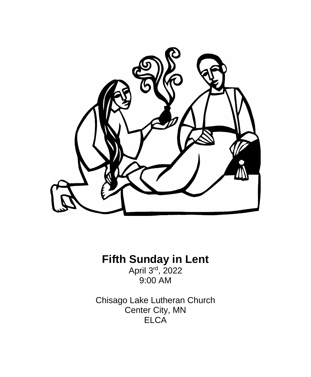

# **Fifth Sunday in Lent**

April 3<sup>rd</sup>, 2022 9:00 AM

Chisago Lake Lutheran Church Center City, MN **ELCA**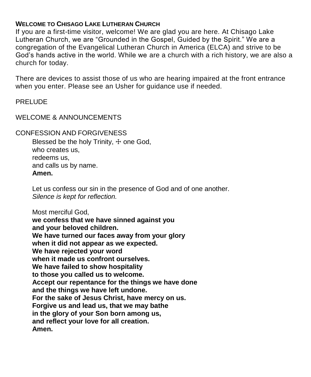# **WELCOME TO CHISAGO LAKE LUTHERAN CHURCH**

If you are a first-time visitor, welcome! We are glad you are here. At Chisago Lake Lutheran Church, we are "Grounded in the Gospel, Guided by the Spirit." We are a congregation of the Evangelical Lutheran Church in America (ELCA) and strive to be God's hands active in the world. While we are a church with a rich history, we are also a church for today.

There are devices to assist those of us who are hearing impaired at the front entrance when you enter. Please see an Usher for guidance use if needed.

PRELUDE

# WELCOME & ANNOUNCEMENTS

# CONFESSION AND FORGIVENESS

Blessed be the holy Trinity,  $+$  one God, who creates us, redeems us, and calls us by name. **Amen.**

Let us confess our sin in the presence of God and of one another. *Silence is kept for reflection.*

Most merciful God,

**we confess that we have sinned against you and your beloved children. We have turned our faces away from your glory when it did not appear as we expected. We have rejected your word when it made us confront ourselves. We have failed to show hospitality to those you called us to welcome. Accept our repentance for the things we have done and the things we have left undone. For the sake of Jesus Christ, have mercy on us. Forgive us and lead us, that we may bathe in the glory of your Son born among us, and reflect your love for all creation. Amen.**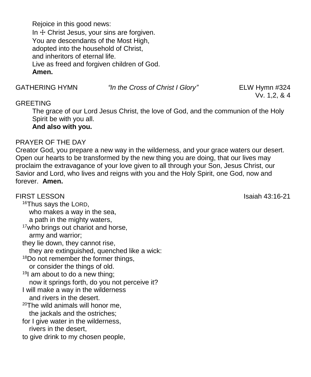Rejoice in this good news: In  $+$  Christ Jesus, your sins are forgiven. You are descendants of the Most High, adopted into the household of Christ, and inheritors of eternal life. Live as freed and forgiven children of God. **Amen.**

GATHERING HYMN *"In the Cross of Christ I Glory"* ELW Hymn #324

Vv. 1,2, & 4

# GREETING

The grace of our Lord Jesus Christ, the love of God, and the communion of the Holy Spirit be with you all.

**And also with you.**

# PRAYER OF THE DAY

Creator God, you prepare a new way in the wilderness, and your grace waters our desert. Open our hearts to be transformed by the new thing you are doing, that our lives may proclaim the extravagance of your love given to all through your Son, Jesus Christ, our Savior and Lord, who lives and reigns with you and the Holy Spirit, one God, now and forever. **Amen.**

FIRST LESSONIsaiah 43:16-21 <sup>16</sup>Thus says the LORD, who makes a way in the sea, a path in the mighty waters, 17who brings out chariot and horse, army and warrior; they lie down, they cannot rise, they are extinguished, quenched like a wick: <sup>18</sup>Do not remember the former things, or consider the things of old.  $19$ I am about to do a new thing: now it springs forth, do you not perceive it? I will make a way in the wilderness and rivers in the desert.  $20$ The wild animals will honor me. the jackals and the ostriches; for I give water in the wilderness, rivers in the desert, to give drink to my chosen people,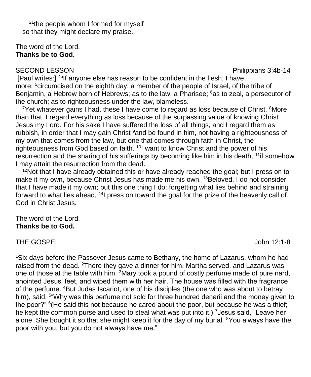<sup>21</sup>the people whom I formed for myself so that they might declare my praise.

#### The word of the Lord. **Thanks be to God.**

SECOND LESSON **Philippians 3:4b-14** 

[Paul writes:] 4bIf anyone else has reason to be confident in the flesh, I have more: <sup>5</sup>circumcised on the eighth day, a member of the people of Israel, of the tribe of Benjamin, a Hebrew born of Hebrews; as to the law, a Pharisee; <sup>6</sup>as to zeal, a persecutor of the church; as to righteousness under the law, blameless.

 $7$ Yet whatever gains I had, these I have come to regard as loss because of Christ.  $8$ More than that, I regard everything as loss because of the surpassing value of knowing Christ Jesus my Lord. For his sake I have suffered the loss of all things, and I regard them as rubbish, in order that I may gain Christ <sup>9</sup>and be found in him, not having a righteousness of my own that comes from the law, but one that comes through faith in Christ, the righteousness from God based on faith. <sup>10</sup>I want to know Christ and the power of his resurrection and the sharing of his sufferings by becoming like him in his death, <sup>11</sup> if somehow I may attain the resurrection from the dead.

 $12$ Not that I have already obtained this or have already reached the goal; but I press on to make it my own, because Christ Jesus has made me his own. <sup>13</sup>Beloved, I do not consider that I have made it my own; but this one thing I do: forgetting what lies behind and straining forward to what lies ahead, <sup>14</sup>I press on toward the goal for the prize of the heavenly call of God in Christ Jesus.

# The word of the Lord. **Thanks be to God.**

# THE GOSPEL **THE GOSPEL**

<sup>1</sup>Six days before the Passover Jesus came to Bethany, the home of Lazarus, whom he had raised from the dead. <sup>2</sup>There they gave a dinner for him. Martha served, and Lazarus was one of those at the table with him. <sup>3</sup>Mary took a pound of costly perfume made of pure nard, anointed Jesus' feet, and wiped them with her hair. The house was filled with the fragrance of the perfume. <sup>4</sup>But Judas Iscariot, one of his disciples (the one who was about to betray him), said, <sup>5</sup>"Why was this perfume not sold for three hundred denarii and the money given to the poor?" <sup>6</sup>(He said this not because he cared about the poor, but because he was a thief; he kept the common purse and used to steal what was put into it.) <sup>7</sup> Jesus said, "Leave her alone. She bought it so that she might keep it for the day of my burial. <sup>8</sup>You always have the poor with you, but you do not always have me."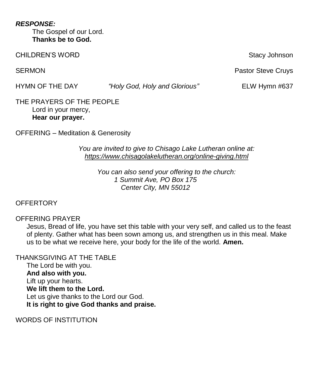*RESPONSE:* The Gospel of our Lord. **Thanks be to God.**

CHILDREN'S WORD **Stacy Johnson** Stacy Johnson

HYMN OF THE DAY *"Holy God, Holy and Glorious"* ELW Hymn #637

THE PRAYERS OF THE PEOPLE Lord in your mercy, **Hear our prayer.**

OFFERING – Meditation & Generosity

# *You are invited to give to Chisago Lake Lutheran online at: <https://www.chisagolakelutheran.org/online-giving.html>*

*You can also send your offering to the church: 1 Summit Ave, PO Box 175 Center City, MN 55012*

# **OFFERTORY**

# OFFERING PRAYER

Jesus, Bread of life, you have set this table with your very self, and called us to the feast of plenty. Gather what has been sown among us, and strengthen us in this meal. Make us to be what we receive here, your body for the life of the world. **Amen.**

THANKSGIVING AT THE TABLE The Lord be with you. **And also with you.** Lift up your hearts. **We lift them to the Lord.** Let us give thanks to the Lord our God. **It is right to give God thanks and praise.**

WORDS OF INSTITUTION

SERMON **Pastor Steve Cruys Pastor Steve Cruys Pastor Steve Cruys**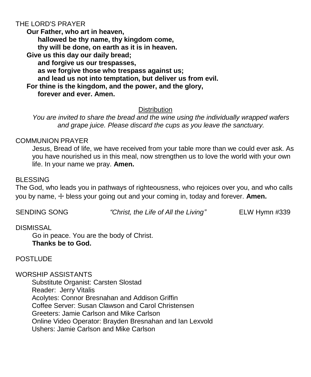# THE LORD'S PRAYER

**Our Father, who art in heaven, hallowed be thy name, thy kingdom come, thy will be done, on earth as it is in heaven. Give us this day our daily bread; and forgive us our trespasses, as we forgive those who trespass against us; and lead us not into temptation, but deliver us from evil. For thine is the kingdom, and the power, and the glory, forever and ever. Amen.**

# **Distribution**

*You are invited to share the bread and the wine using the individually wrapped wafers and grape juice. Please discard the cups as you leave the sanctuary.*

# COMMUNION PRAYER

Jesus, Bread of life, we have received from your table more than we could ever ask. As you have nourished us in this meal, now strengthen us to love the world with your own life. In your name we pray. **Amen.**

#### BLESSING

The God, who leads you in pathways of righteousness, who rejoices over you, and who calls you by name, ☩ bless your going out and your coming in, today and forever. **Amen.**

SENDING SONG *"Christ, the Life of All the Living"* ELW Hymn #339

#### DISMISSAL

Go in peace. You are the body of Christ. **Thanks be to God.**

# POSTLUDE

#### WORSHIP ASSISTANTS

Substitute Organist: Carsten Slostad Reader: Jerry Vitalis Acolytes: Connor Bresnahan and Addison Griffin Coffee Server: Susan Clawson and Carol Christensen Greeters: Jamie Carlson and Mike Carlson Online Video Operator: Brayden Bresnahan and Ian Lexvold Ushers: Jamie Carlson and Mike Carlson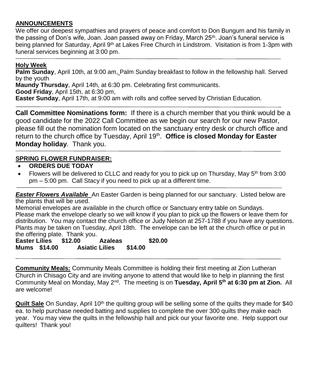# **ANNOUNCEMENTS**

We offer our deepest sympathies and prayers of peace and comfort to Don Bungum and his family in the passing of Don's wife, Joan. Joan passed away on Friday, March 25<sup>th</sup>. Joan's funeral service is being planned for Saturday, April 9<sup>th</sup> at Lakes Free Church in Lindstrom. Visitation is from 1-3pm with funeral services beginning at 3:00 pm.

#### **Holy Week**

**Palm Sunday**, April 10th, at 9:00 am, Palm Sunday breakfast to follow in the fellowship hall. Served by the youth

**Maundy Thursday**, April 14th, at 6:30 pm. Celebrating first communicants.

**Good Friday**, April 15th, at 6:30 pm,

**Easter Sunday**, April 17th, at 9:00 am with rolls and coffee served by Christian Education.

**Call Committee Nominations form:** If there is a church member that you think would be a good candidate for the 2022 Call Committee as we begin our search for our new Pastor, please fill out the nomination form located on the sanctuary entry desk or church office and return to the church office by Tuesday, April 19<sup>th</sup>. Office is closed Monday for Easter **Monday holiday**. Thank you.

#### **SPRING FLOWER FUNDRAISER:**

- **ORDERS DUE TODAY**
- Flowers will be delivered to CLLC and ready for you to pick up on Thursday, May  $5<sup>th</sup>$  from 3:00 pm – 5:00 pm. Call Stacy if you need to pick up at a different time.

*Easter Flowers Available* An Easter Garden is being planned for our sanctuary. Listed below are the plants that will be used.

Memorial envelopes are available in the church office or Sanctuary entry table on Sundays. Please mark the envelope clearly so we will know if you plan to pick up the flowers or leave them for distribution. You may contact the church office or Judy Nelson at 257-1788 if you have any questions. Plants may be taken on Tuesday, April 18th. The envelope can be left at the church office or put in the offering plate. Thank you.

**Easter Lilies \$12.00 Azaleas \$20.00 Mums \$14.00 Asiatic Lilies \$14.00**

**Community Meals:** Community Meals Committee is holding their first meeting at Zion Lutheran Church in Chisago City and are inviting anyone to attend that would like to help in planning the first Community Meal on Monday, May 2nd. The meeting is on **Tuesday, April 5th at 6:30 pm at Zion.** All are welcome!

**Quilt Sale** On Sunday, April 10<sup>th</sup> the quilting group will be selling some of the quilts they made for \$40 ea. to help purchase needed batting and supplies to complete the over 300 quilts they make each year. You may view the quilts in the fellowship hall and pick our your favorite one. Help support our quilters! Thank you!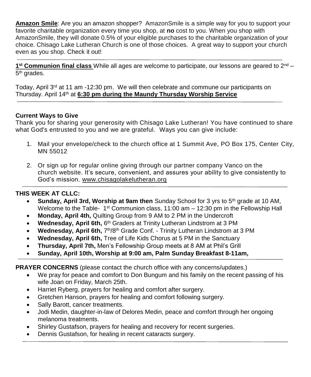**Amazon Smile**: Are you an amazon shopper? AmazonSmile is a simple way for you to support your favorite charitable organization every time you shop, at **no** cost to you. When you shop with AmazonSmile, they will donate 0.5% of your eligible purchases to the charitable organization of your choice. Chisago Lake Lutheran Church is one of those choices. A great way to support your church even as you shop. Check it out!

1<sup>st</sup> Communion final class While all ages are welcome to participate, our lessons are geared to 2<sup>nd</sup> – 5<sup>th</sup> grades.

Today, April 3<sup>rd</sup> at 11 am -12:30 pm. We will then celebrate and commune our participants on Thursday. April 14th at **6:30 pm during the Maundy Thursday Worship Service**

# **Current Ways to Give**

Thank you for sharing your generosity with Chisago Lake Lutheran! You have continued to share what God's entrusted to you and we are grateful. Ways you can give include:

- 1. Mail your envelope/check to the church office at 1 Summit Ave, PO Box 175, Center City, MN 55012
- 2. Or sign up for regular online giving through our partner company Vanco on the church [website.](https://www.eservicepayments.com/cgi-bin/Vanco_ver3.vps?appver3=wWsk24ZWJSTZKsGd1RMKlg0BDvsSG3VIWQCPJNNxD8upkiY7JlDavDsozUE7KG0nFx2NSo8LdUKGuGuF396vbUm5LNljBPNnBOEFTzKhxx-XHubq5Z7ap5JVmPErc4ZeYHCKCZhESjGNQmZ5B-6dx3x8KCRzq4DlLabxS1KshoM=&ver=3) It's secure, convenient, and assures your ability to give consistently to God's mission. [www.chisagolakelutheran.org](http://www.chisagolakelutheran.org/)

# **THIS WEEK AT CLLC:**

- **Sunday, April 3rd, Worship at 9am then** Sunday School for 3 yrs to 5<sup>th</sup> grade at 10 AM, Welcome to the Table-  $1^{\text{st}}$  Communion class, 11:00 am  $-$  12:30 pm in the Fellowship Hall
- **Monday, April 4th,** Quilting Group from 9 AM to 2 PM in the Undercroft
- Wednesday, April 6th, 6<sup>th</sup> Graders at Trinity Lutheran Lindstrom at 3 PM
- Wednesday, April 6th, 7<sup>th</sup>/8<sup>th</sup> Grade Conf. Trinity Lutheran Lindstrom at 3 PM
- **Wednesday, April 6th,** Tree of Life Kids Chorus at 5 PM in the Sanctuary
- **Thursday, April 7th,** Men's Fellowship Group meets at 8 AM at Phil's Grill
- **Sunday, April 10th, Worship at 9:00 am, Palm Sunday Breakfast 8-11am,**

**PRAYER CONCERNS** (please contact the church office with any concerns/updates.)

- We pray for peace and comfort to Don Bungum and his family on the recent passing of his wife Joan on Friday, March 25th.
- Harriet Ryberg, prayers for healing and comfort after surgery.
- Gretchen Hanson, prayers for healing and comfort following surgery.
- Sally Barott, cancer treatments.
- Jodi Medin, daughter-in-law of Delores Medin, peace and comfort through her ongoing melanoma treatments.
- Shirley Gustafson, prayers for healing and recovery for recent surgeries.
- Dennis Gustafson, for healing in recent cataracts surgery.